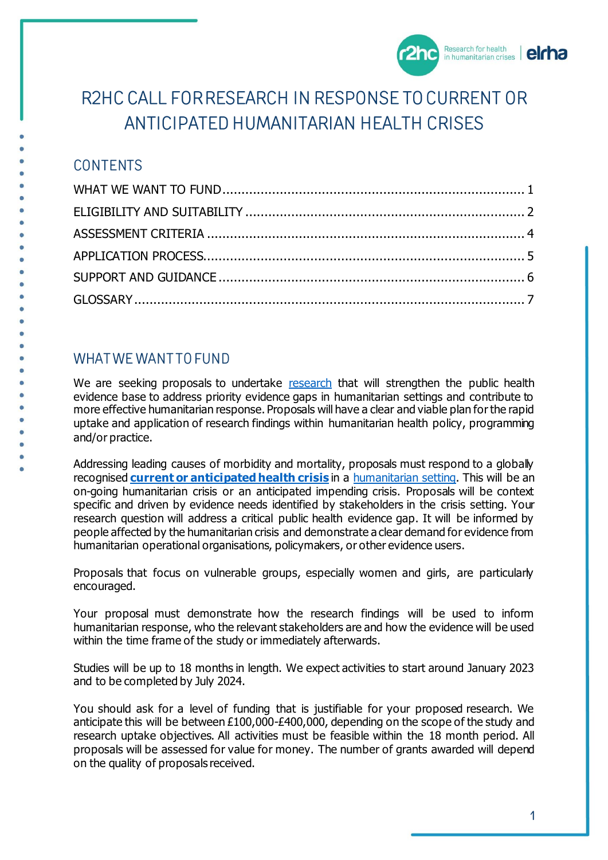

# R2HC CALL FOR RESEARCH IN RESPONSE TO CURRENT OR ANTICIPATED HUMANITARIAN HEALTH CRISES

# **CONTENTS**

# <span id="page-0-0"></span>**WHAT WE WANT TO FUND**

<span id="page-0-1"></span>We are seeking proposals to undertake [research](#page-6-0) that will strengthen the public health evidence base to address priority evidence gaps in humanitarian settings and contribute to more effective humanitarian response. Proposals will have a clear and viable plan for the rapid uptake and application of research findings within humanitarian health policy, programming and/or practice.

Addressing leading causes of morbidity and mortality, proposals must respond to a globally recognised **[current or anticipated health crisis](#page-6-1)** in a [humanitarian setting.](#page-6-2) This will be an on-going humanitarian crisis or an anticipated impending crisis. Proposals will be context specific and driven by evidence needs identified by stakeholders in the crisis setting. Your research question will address a critical public health evidence gap. It will be informed by people affected by the humanitarian crisis and demonstrate a clear demand for evidence from humanitarian operational organisations, policymakers, or other evidence users.

Proposals that focus on vulnerable groups, especially women and girls, are particularly encouraged.

Your proposal must demonstrate how the research findings will be used to inform humanitarian response, who the relevant stakeholders are and how the evidence will be used within the time frame of the study or immediately afterwards.

Studies will be up to 18 months in length. We expect activities to start around January 2023 and to be completed by July 2024.

You should ask for a level of funding that is justifiable for your proposed research. We anticipate this will be between £100,000-£400,000, depending on the scope of the study and research uptake objectives. All activities must be feasible within the 18 month period. All proposals will be assessed for value for money. The number of grants awarded will depend on the quality of proposals received.

 $\overline{1}$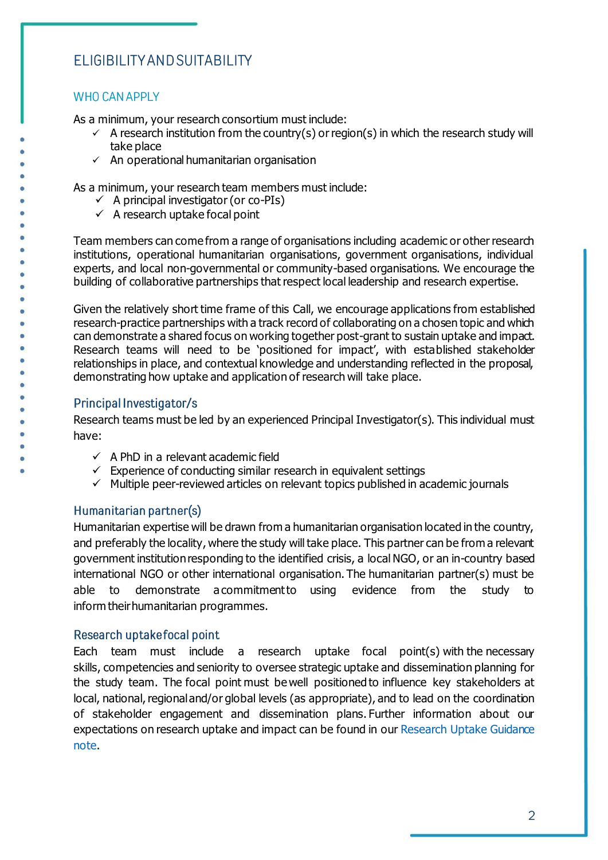# ELIGIBILITY AND SUITABILITY

# **WHO CAN APPLY**

As a minimum, your research consortium must include:

- $\checkmark$  A research institution from the country(s) or region(s) in which the research study will take place
- $\checkmark$  An operational humanitarian organisation

As a minimum, your research team members must include:

- $\checkmark$  A principal investigator (or co-PIs)
- $\checkmark$  A research uptake focal point

Team members can come from a range of organisations including academic or other research institutions, operational humanitarian organisations, government organisations, individual experts, and local non-governmental or community-based organisations. We encourage the building of collaborative partnerships that respect local leadership and research expertise.

Given the relatively short time frame of this Call, we encourage applications from established research-practice partnerships with a track record of collaborating on a chosen topic and which can demonstrate a shared focus on working together post-grant to sustain uptake and impact. Research teams will need to be 'positioned for impact', with established stakeholder relationships in place, and contextual knowledge and understanding reflected in the proposal, demonstrating how uptake and application of research will take place.

# Principal Investigator/s

Research teams must be led by an experienced Principal Investigator(s). This individual must have:

- $\checkmark$  A PhD in a relevant academic field
- $\checkmark$  Experience of conducting similar research in equivalent settings
- $\checkmark$  Multiple peer-reviewed articles on relevant topics published in academic journals

# Humanitarian partner(s)

Humanitarian expertise will be drawn from a humanitarian organisation located in the country, and preferably the locality, where the study will take place. This partner can be from a relevant government institution responding to the identified crisis, a local NGO, or an in-country based international NGO or other international organisation. The humanitarian partner(s) must be able to demonstrate a commitment to using evidence from the study to inform their humanitarian programmes.  

# Research uptake focal point

Each team must include a research uptake focal point(s) with the necessary skills, competencies and seniority to oversee strategic uptake and dissemination planning for the study team. The focal point must be well positioned to influence key stakeholders at local, national, regional and/or global levels (as appropriate), and to lead on the coordination of stakeholder engagement and dissemination plans. Further information about our expectations on research uptake and impact can be found in our Research Uptake Guidance [note.](https://www.elrha.org/wp-content/uploads/2021/01/R2HC-Research-Uptake-Guidance-Note_2021.pdf)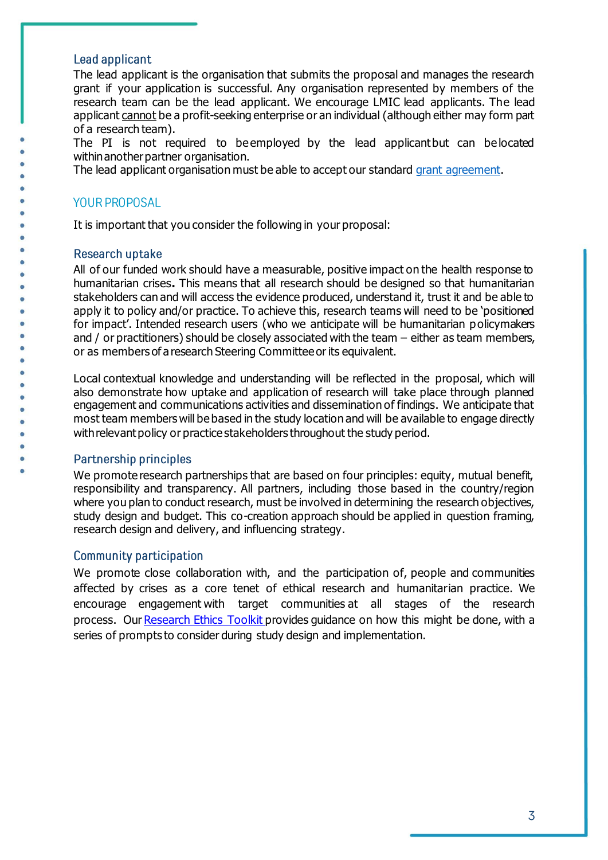### Lead applicant

The lead applicant is the organisation that submits the proposal and manages the research grant if your application is successful. Any organisation represented by members of the research team can be the lead applicant. We encourage LMIC lead applicants. The lead applicant cannot be a profit-seeking enterprise or an individual (although either may form part of a research team).

The PI is not required to beemployed by the lead applicantbut can belocated within another partner organisation.

The lead applicant organisation must be able to accept our standard [grant agreement](https://www.elrha.org/wp-content/uploads/2019/08/Elrha-Grant-Agreement-TEMPLATE-MERGE-Final-2019.pdf).

### **YOUR PROPOSAL**

It is important that you consider the following in your proposal:

### Research uptake

All of our funded work should have a measurable, positive impact on the health response to humanitarian crises**.** This means that all research should be designed so that humanitarian stakeholders can and will access the evidence produced, understand it, trust it and be able to apply it to policy and/or practice. To achieve this, research teams will need to be 'positioned for impact'. Intended research users (who we anticipate will be humanitarian policymakers and / or practitioners) should be closely associated with the team – either as team members, or as members of a research Steering Committee or its equivalent.

Local contextual knowledge and understanding will be reflected in the proposal, which will also demonstrate how uptake and application of research will take place through planned engagement and communications activities and dissemination of findings. We anticipate that most team members will be based in the study location and will be available to engage directly with relevant policy or practice stakeholders throughout the study period.   

### **Partnership principles**

ò

We promote research partnerships that are based on four principles: equity, mutual benefit, responsibility and transparency. All partners, including those based in the country/region where you plan to conduct research, must be involved in determining the research objectives, study design and budget. This co-creation approach should be applied in question framing, research design and delivery, and influencing strategy.

### **Community participation**

We promote close collaboration with, and the participation of, people and communities affected by crises as a core tenet of ethical research and humanitarian practice. We encourage engagement with target communities at all stages of the research process. Our [Research Ethics Toolkit](https://www.elrha.org/wp-content/uploads/2015/01/ELRHA-Interactive-Flipcards-F3.pdf) provides guidance on how this might be done, with a series of prompts to consider during study design and implementation.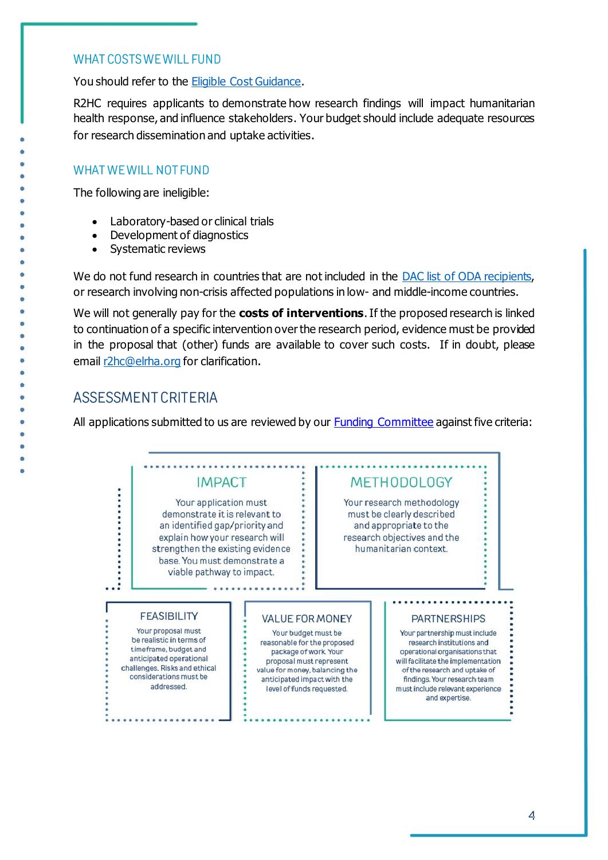# **WHAT COSTS WE WILL FUND**

You should refer to the **Eligible Cost Guidance**.

R2HC requires applicants to demonstrate how research findings will impact humanitarian health response, and influence stakeholders. Your budget should include adequate resources for research dissemination and uptake activities.

# **WHAT WE WILL NOT FUND**

The following are ineligible:

- Laboratory-based or clinical trials
- Development of diagnostics
- Systematic reviews

We do not fund research in countries that are not included in the DAC list of ODA recipients. or research involving non-crisis affected populations in low- and middle-income countries.

We will not generally pay for the **costs of interventions**. If the proposed research is linked to continuation of a specific intervention over the research period, evidence must be provided in the proposal that (other) funds are available to cover such costs. If in doubt, please email [r2hc@elrha.org](mailto:r2hc@elrha.org) for clarification.

# **ASSESSMENT CRITERIA**

All applications submitted to us are reviewed by our [Funding Committee](https://www.elrha.org/our-people/r2hc-funding-committee/) against five criteria:

# <span id="page-3-0"></span>**IMPACT**

Your application must demonstrate it is relevant to an identified gap/priority and explain how your research will strengthen the existing evidence base. You must demonstrate a viable pathway to impact.

# **METHODOLOGY**

Your research methodology must be clearly described and appropriate to the research objectives and the humanitarian context.

#### **FEASIBILITY**

Your proposal must be realistic in terms of timeframe, budget and anticipated operational challenges. Risks and ethical considerations must be addressed.

#### VALUE FOR MONEY

Your budget must be reasonable for the proposed package of work. Your proposal must represent value for money, balancing the anticipated impact with the level of funds requested.

#### **PARTNERSHIPS**

Your partnership must include research institutions and operational organisations that will facilitate the implementation of the research and uptake of findings. Your research team must include relevant experience and expertise.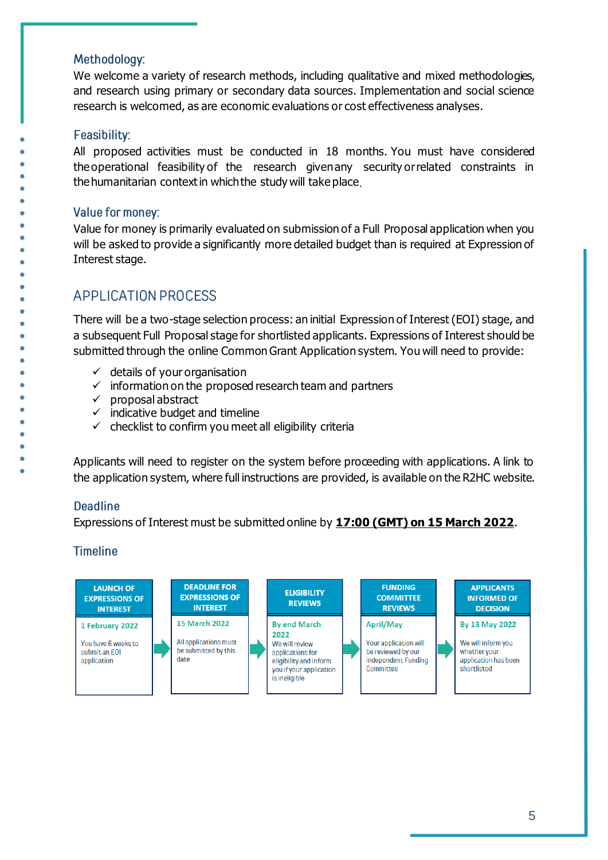# Methodology:

We welcome a variety of research methods, including qualitative and mixed methodologies, and research using primary or secondary data sources. Implementation and social science research is welcomed, as are economic evaluations or cost effectiveness analyses.

# Feasibility:

All proposed activities must be conducted in 18 months. You must have considered the operational feasibility of the research given any security or related constraints in the humanitarian context in which the study will take place

### Value for money:

<span id="page-4-0"></span>Value for money is primarily evaluated on submission of a Full Proposal application when you will be asked to provide a significantly more detailed budget than is required at Expression of Interest stage.

# **APPLICATION PROCESS**

There will be a two-stage selection process: an initial Expression of Interest (EOI) stage, and a subsequent Full Proposal stage for shortlisted applicants. Expressions of Interest should be submitted through the online Common Grant Application system. You will need to provide:

- $\checkmark$  details of your organisation
- $\checkmark$  information on the proposed research team and partners
- ✓ proposal abstract
- $\checkmark$  indicative budget and timeline
- $\checkmark$  checklist to confirm you meet all eligibility criteria

Applicants will need to register on the system before proceeding with applications. A link to the application system, where full instructions are provided, is available on the R2HC website.

# **Deadline**

Expressions of Interest must be submitted online by **17:00 (GMT) on 15 March 2022**.

# **Timeline**

<span id="page-4-1"></span>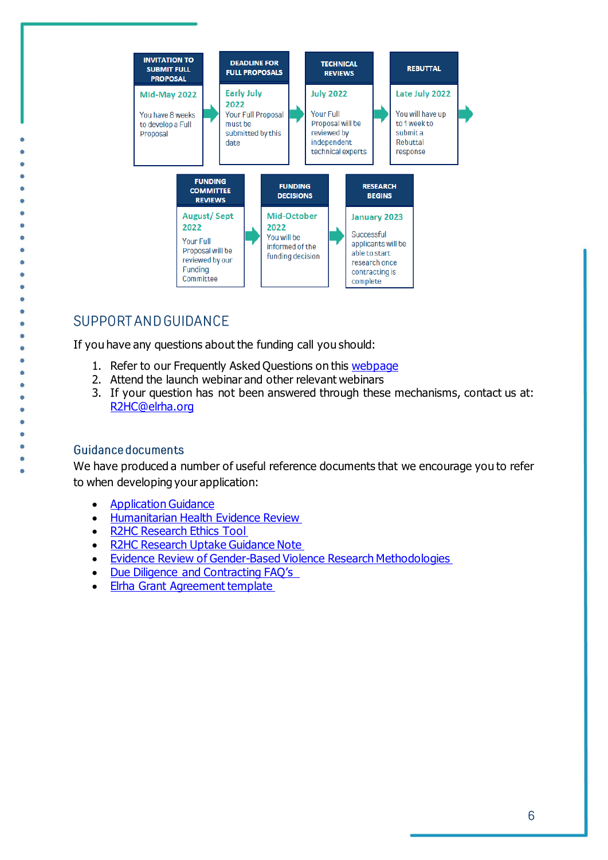

# SUPPORT AND GUIDANCE

If you have any questions about the funding call you should:

- 1. Refer to our Frequently Asked Questions on this [webpage](https://www.elrha.org/support/r2hc/application-guidance/#/faqs)
- 2. Attend the launch webinar and other relevant webinars
- 3. If your question has not been answered through these mechanisms, contact us at: R2HC@elrha.org

### **Guidance documents**

d ò

We have produced a number of useful reference documents that we encourage you to refer to when developing your application:

- [Application Guidance](https://www.elrha.org/support/r2hc/application-guidance/)
- [Humanitarian Health Evidence Review](https://www.elrha.org/researchdatabase/the-humanitarian-health-evidence-review/#:~:text=The%20Humanitarian%20Health%20Evidence%20Review%20is%20an%20evidence%20review%20of,health%20interventions%20in%20humanitarian%20crises.)
- [R2HC Research Ethics Tool](https://www.elrha.org/wp-content/uploads/2015/01/ELRHA-Interactive-Flipcards-F3.pdf)
- [R2HC Research Uptake Guidance Note](https://www.elrha.org/wp-content/uploads/2022/02/R2HC-Research-Uptake-Guidance-Note_2022.pdf)
- [Evidence Review of Gender-Based Violence Research Methodologies](https://www.elrha.org/researchdatabase/gender-based-violence-research-methodologies-humanitarian-settings/)
- [Due Diligence and Contracting FAQ's](https://www.elrha.org/wp-content/uploads/2022/01/Due-diligence-and-Contracting-FAQs_2022.pdf)
- <span id="page-5-0"></span>• [Elrha Grant Agreement template](http://agreement/)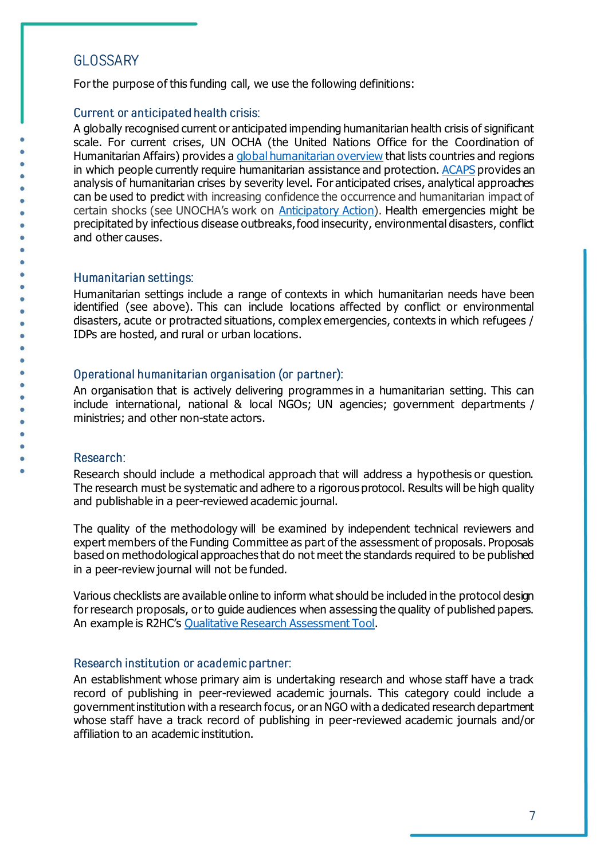# **GLOSSARY**

For the purpose of this funding call, we use the following definitions:

# <span id="page-6-1"></span>Current or anticipated health crisis:

A globally recognised current or anticipated impending humanitarian health crisis of significant scale. For current crises, UN OCHA (the United Nations Office for the Coordination of Humanitarian Affairs) provides [a global humanitarian overview](https://gho.unocha.org/) that lists countries and regions in which people currently require humanitarian assistance and protection[. ACAPS](https://www.acaps.org/countries) provides an analysis of humanitarian crises by severity level. For anticipated crises, analytical approaches can be used to predict with increasing confidence the occurrence and humanitarian impact of certain shocks (see UNOCHA's work on [Anticipatory Action\)](https://www.unocha.org/our-work/humanitarian-financing/anticipatory-action). Health emergencies might be precipitated by infectious disease outbreaks, food insecurity, environmental disasters, conflict and other causes.

### <span id="page-6-2"></span>Humanitarian settings:

Humanitarian settings include a range of contexts in which humanitarian needs have been identified (see above). This can include locations affected by conflict or environmental disasters, acute or protracted situations, complex emergencies, contexts in which refugees / IDPs are hosted, and rural or urban locations.

# Operational humanitarian organisation (or partner):

An organisation that is actively delivering programmes in a humanitarian setting. This can include international, national & local NGOs; UN agencies; government departments / ministries; and other non-state actors.

### <span id="page-6-0"></span>Research:

Research should include a methodical approach that will address a hypothesis or question. The research must be systematic and adhere to a rigorous protocol. Results will be high quality and publishable in a peer-reviewed academic journal.

The quality of the methodology will be examined by independent technical reviewers and expert members of the Funding Committee as part of the assessment of proposals. Proposals based on methodological approaches that do not meet the standards required to be published in a peer-review journal will not be funded.

Various checklists are available online to inform what should be included in the protocol design for research proposals, or to guide audiences when assessing the quality of published papers. An example is R2HC's [Qualitative Research Assessment Tool](https://www.elrha.org/wp-content/uploads/2020/02/Annex-5-Qualitative-Research-Assessment-Tool.pdf).

# Research institution or academic partner:

An establishment whose primary aim is undertaking research and whose staff have a track record of publishing in peer-reviewed academic journals. This category could include a government institution with a research focus, or an NGO with a dedicated research department whose staff have a track record of publishing in peer-reviewed academic journals and/or affiliation to an academic institution.